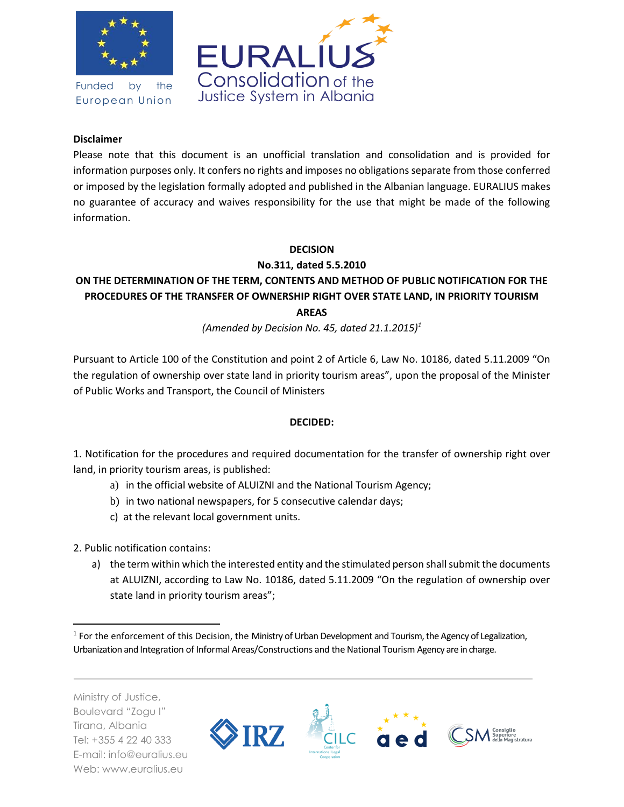

Funded by the European Union



## **Disclaimer**

Please note that this document is an unofficial translation and consolidation and is provided for information purposes only. It confers no rights and imposes no obligations separate from those conferred or imposed by the legislation formally adopted and published in the Albanian language. EURALIUS makes no guarantee of accuracy and waives responsibility for the use that might be made of the following information.

## **DECISION**

**No.311, dated 5.5.2010**

## **ON THE DETERMINATION OF THE TERM, CONTENTS AND METHOD OF PUBLIC NOTIFICATION FOR THE PROCEDURES OF THE TRANSFER OF OWNERSHIP RIGHT OVER STATE LAND, IN PRIORITY TOURISM AREAS**

*(Amended by Decision No. 45, dated 21.1.2015)<sup>1</sup>*

Pursuant to Article 100 of the Constitution and point 2 of Article 6, Law No. 10186, dated 5.11.2009 "On the regulation of ownership over state land in priority tourism areas", upon the proposal of the Minister of Public Works and Transport, the Council of Ministers

## **DECIDED:**

1. Notification for the procedures and required documentation for the transfer of ownership right over land, in priority tourism areas, is published:

- a) in the official website of ALUIZNI and the National Tourism Agency;
- b) in two national newspapers, for 5 consecutive calendar days;
- c) at the relevant local government units.

2. Public notification contains:

a) the term within which the interested entity and the stimulated person shall submit the documents at ALUIZNI, according to Law No. 10186, dated 5.11.2009 "On the regulation of ownership over state land in priority tourism areas";

Ministry of Justice, Boulevard "Zogu I" Tirana, Albania Tel: +355 4 22 40 333 E-mail: info@euralius.eu Web: www.euralius.eu

 $\overline{\phantom{a}}$ 



<sup>&</sup>lt;sup>1</sup> For the enforcement of this Decision, the Ministry of Urban Development and Tourism, the Agency of Legalization, Urbanization and Integration of Informal Areas/Constructions and the National Tourism Agency are in charge.